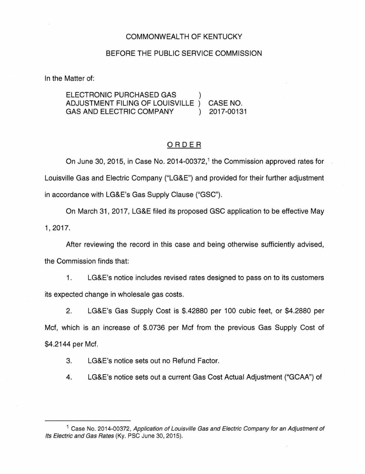### COMMONWEALTH OF KENTUCKY

### BEFORE THE PUBLIC SERVICE COMMISSION

In the Matter of:

ELECTRONIC PURCHASED GAS ) ADJUSTMENT FILING OF LOUISVILLE ) CASE NO. GAS AND ELECTRIC COMPANY (2017-00131)

### ORDER

On June 30, 2015, in Case No. 2014-00372, 1 the Commission approved rates for Louisville Gas and Electric Company ("LG&E") and provided for their further adjustment in accordance with LG&E's Gas Supply Clause ("GSC").

On March 31, 2017, LG&E filed its proposed GSC application to be effective May 1' 2017.

After reviewing the record in this case and being otherwise sufficiently advised, the Commission finds that:

1. LG&E's notice includes revised rates designed to pass on to its customers its expected change in wholesale gas costs.

2. LG&E's Gas Supply Cost is \$.42880 per 100 cubic feet, or \$4.2880 per Mcf, which is an increase of \$.0736 per Mcf from the previous Gas Supply Cost of \$4.2144 per Mcf.

3. LG&E's notice sets out no Refund Factor.

4. LG&E's notice sets out a current Gas Cost Actual Adjustment ("GCAA") of

<sup>&</sup>lt;sup>1</sup> Case No. 2014-00372, Application of Louisville Gas and Electric Company for an Adjustment of Its Electric and Gas Rates (Ky. PSC June 30, 2015).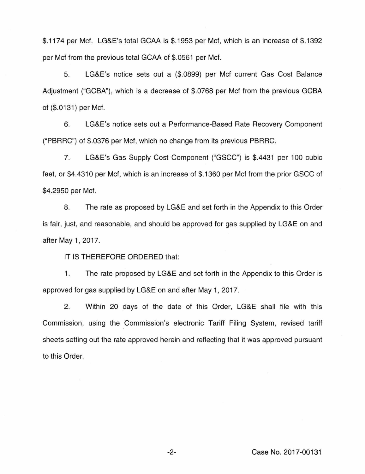\$.1174 per Mcf. LG&E's total GCAA is \$.1953 per Mcf, which is an increase of \$.1392 per Mcf from the previous total GCAA of \$.0561 per Met.

5. LG&E's notice sets out a (\$.0899) per Met current Gas Cost Balance Adjustment ("GCBA"), which is a decrease of \$.0768 per Mcf from the previous GCBA of (\$.0131) per Mcf.

6. LG&E's notice sets out a Performance-Based Rate Recovery Component ("PBRRC") of \$.0376 per Met, which no change from its previous PBRRC.

7. LG&E's Gas Supply Cost Component ("GSCC") is \$.4431 per 100 cubic feet, or \$4.4310 per Met, which is an increase of \$.1360 per Mcf from the prior GSCC of \$4.2950 per Met.

8. The rate as proposed by LG&E and set forth in the Appendix to this Order is fair, just, and reasonable, and should be approved for gas supplied by LG&E on and after May 1, 2017.

IT IS THEREFORE ORDERED that:

1. The rate proposed by LG&E and set forth in the Appendix to this Order is approved for gas supplied by LG&E on and after May 1, 2017.

2. Within 20 days of the date of this Order, LG&E shall file with this Commission, using the Commission's electronic Tariff Filing System, revised tariff sheets setting out the rate approved herein and reflecting that it was approved pursuant to this Order.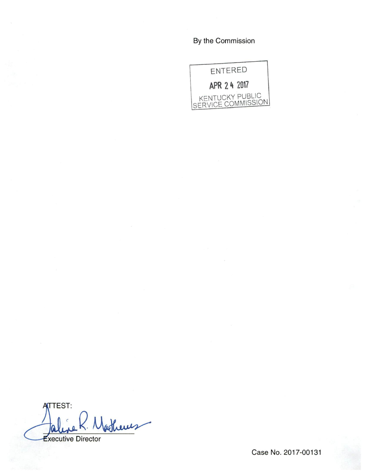## By the Commission



**TTEST:** Asheres xecutive Director

Case No. 2017-00131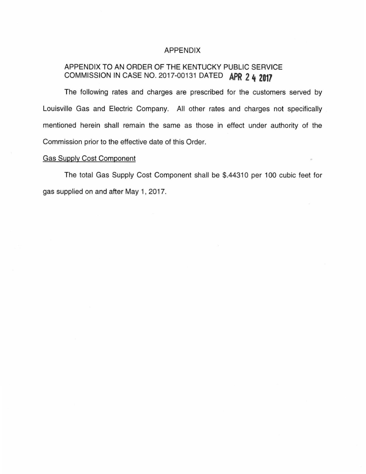### APPENDIX

# APPENDIX TO AN ORDER OF THE KENTUCKY PUBLIC SERVICE COMMISSION IN CASE NO. 2017-00131 DATED **APR 2 4 2017**

The following rates and charges are prescribed for the customers served by Louisville Gas and Electric Company. All other rates and charges not specifically mentioned herein shall remain the same as those in effect under authority of the Commission prior to the effective date of this Order.

## Gas Supply Cost Component

The total Gas Supply Cost Component shall be \$.44310 per 100 cubic feet for gas supplied on and after May 1, 2017.